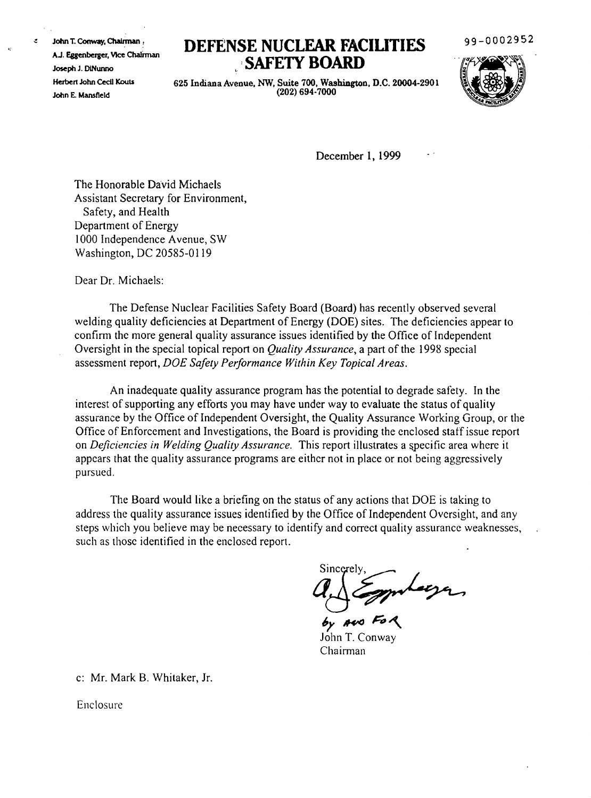John T. Conway, Chairman, AJ. Eggenberger, VIce Cha!iman Joseph J. DiNunno Herbert John CedI Kouts John E. Mansfield

 $\mathcal{L}$ 

## **DEFENSE NUCLEAR FACIUTIES 'SAFElY BOARD**

99-0002952



625 Indiana Avenue, NW, Suite 700, Washington, D.C. 20004-2901 (202) 694-7000

December 1, 1999

The Honorable David Michaels Assistant Secretary for Environment, Safety, and Health Department of Energy 1000 Independence Avenue, SW Washington, DC 20585-0119

Dear Dr. Michaels:

The Defense Nuclear Facilities Safety Board (Board) has recently observed several welding quality deficiencies at Department of Energy (DOE) sites. The deficiencies appear to confinn the more general quality assurance issues identified by the Office of Independent Oversight in the special topical report on *Quality Assurance,* a part of the 1998 special assessment report, *DOE Safety Performance Within Key Topical Areas.*

An inadequate quality assurance program has the potential to degrade safety. In the interest of supporting any efforts you may have under way to evaluate the status of quality assurance by the Office of Independent Oversight, the Quality Assurance Working Group, or the Office of Enforcement and Investigations, the Board is providing the enclosed staff issue report on *Deficiencies in Welding Quality Assurance.* This report illustrates a &pecific area where it appears that the quality assurance programs are either not in place or not being aggressively pursued.

The Board would like a briefing on the status of any actions that DOE is taking to address the quality assurance issues identified by the Office of Independent Oversight, and any steps which you believe may be necessary to identify and correct quality assurance weaknesses, such as those identified in the enclosed report.

 $\beta$   $\frac{1}{2}$  molecy

**6)' A4'<J** H~ John T. Conway Chairman

c: Mr. Mark B. Whitaker, Jr.

Enclosure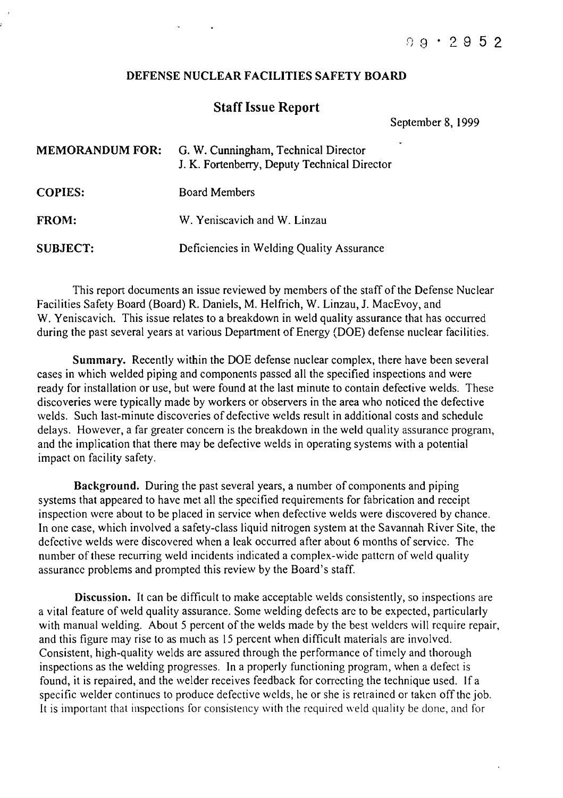## DEFENSE NUCLEAR FACILITIES SAFETY BOARD

## Staff Issue Report

September 8, 1999

| <b>MEMORANDUM FOR:</b> | G. W. Cunningham, Technical Director<br>J. K. Fortenberry, Deputy Technical Director |
|------------------------|--------------------------------------------------------------------------------------|
| <b>COPIES:</b>         | <b>Board Members</b>                                                                 |
| <b>FROM:</b>           | W. Yeniscavich and W. Linzau                                                         |
| <b>SUBJECT:</b>        | Deficiencies in Welding Quality Assurance                                            |

This report documents an issue reviewed by members of the staff of the Defense Nuclear Facilities Safety Board (Board) R. Daniels, M. Helfrich, W. Linzau, J. MacEvoy, and W. Yeniscavich. This issue relates to a breakdown in weld quality assurance that has occurred during the past several years at various Department of Energy (DOE) defense nuclear facilities.

Summary. Recently within the DOE defense nuclear complex, there have been several cases in which welded piping and components passed all the specified inspections and were ready for installation or use, but were found at the last minute to contain defective welds. These discoveries were typically made by workers or observers in the area who noticed the defective welds. Such last-minute discoveries of defective welds result in additional costs and schedule delays. However, a far greater concern is the breakdown in the weld quality assurance program, and the implication that there may be defective welds in operating systems with a potential impact on facility safety.

Background. During the past several years, a number of components and piping systems that appeared to have met all the specified requirements for fabrication and receipt inspection were about to be placed in service when defective welds were discovered by chance. In one case, which involved a safety-class liquid nitrogen system at the Savannah River Site, the defective welds were discovered when a leak occurred after about 6 months of service. The number of these recurring weld incidents indicated a complex-wide pattern of weld quality assurance problems and prompted this review by the Board's staff.

Discussion. It can be difficult to make acceptable welds consistently, so inspections are a vital feature of weld quality assurance. Some welding defects are to be expected, particularly with manual welding. About 5 percent of the welds made by the best welders will require repair, and this figure may rise to as much as IS percent when difficult materials are involved. Consistent, high-quality welds are assured through the performance of timely and thorough inspections as the welding progresses. In a properly functioning program, when a defect is found, it is repaired, and the welder receives feedback for correcting the technique used. If a specific welder continues to produce defective welds, he or she is retrained or taken off the job. It is important that inspections for consistency with the required weld quality be done, and for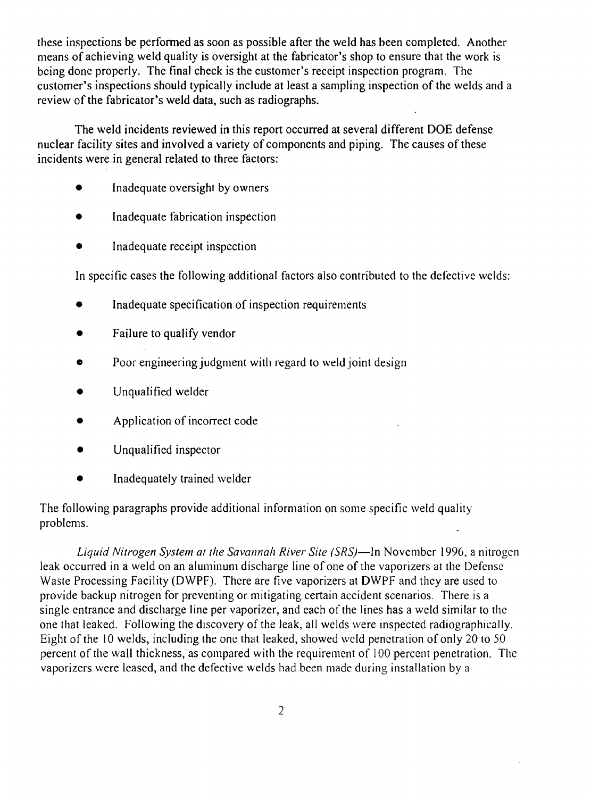these inspections be performed as soon as possible after the weld has been completed. Another means of achieving weld quality is oversight at the fabricator's shop to ensure that the work is being done properly. The final check is the customer's receipt inspection program. The customer's inspections should typically include at least a sampling inspection of the welds and a review of the fabricator's weld data, such as radiographs.

The weld incidents reviewed in this report occurred at several different DOE defense nuclear facility sites and involved a variety of components and piping. The causes of these incidents were in general related to three factors:

- Inadequate oversight by owners
- Inadequate fabrication inspection
- Inadequate receipt inspection

In specific cases the following additional factors also contributed to the defective wclds:

- Inadequate specification of inspection requirements
- Failure to qualify vendor
- Poor engineering judgment with regard to weld joint design
- Unqualified welder
- Application of incorrect code
- Unqualified inspector
- Inadequately trained welder

The following paragraphs provide additional information on some specific weld quality problems.

*Liquid Nitrogen System at the Savannah River Site (SRS)-In* Novcmber 1996, a nitrogen leak occurred in a weld on an aluminum discharge line of one of the vaporizers at the Defense Waste Processing Facility (DWPF). There are five vaporizers at DWPF and thcy are used to provide backup nitrogen for preventing or mitigating certain accident scenarios. There is a single cntrance and discharge line per vaporizer, and each of the lines has a weld similar to the one that leaked. Following the discovery of the leak, all welds were inspected radiographically. Eight of the 10 welds, including the one that leaked, showed weld penetration of only 20 to 50 percent of the wall thickness, as compared with the requirement of 100 percent penetration. The vaporizers were Icascd, and the defective welds had been made during installation by a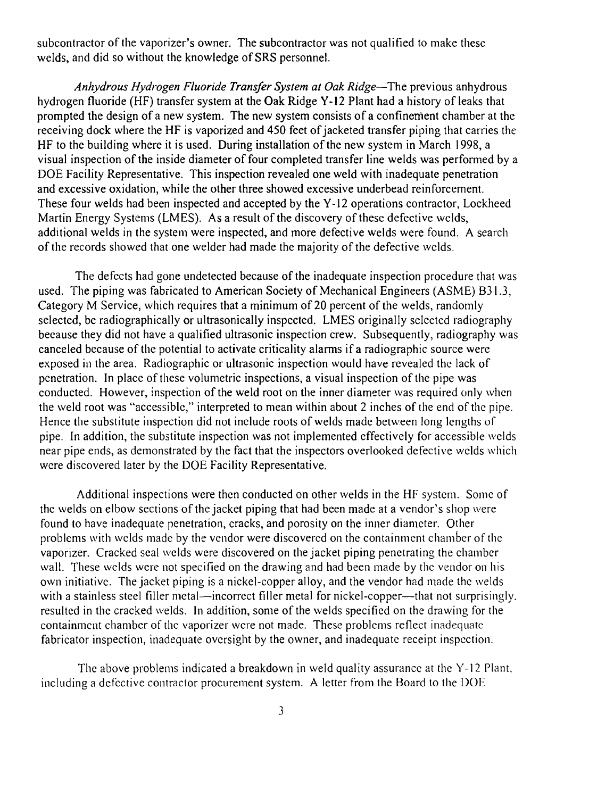subcontractor of the vaporizer's owner. The subcontractor was not qualified to make these welds, and did so without the knowledge of SRS personnel.

*Anhydrous Hydrogen Fluoride Transfer System at Oak Ridge-The* previous anhydrous hydrogen fluoride (HF) transfer system at the Oak Ridge Y-12 Plant had a history of leaks that prompted the design of a new system. The new system consists of a confinement chamber at the receiving dock where the HF is vaporized and 450 feet of jacketed transfer piping that carries the HF to the building where it is used. During installation of the new system in March 1998, a visual inspection of the inside diameter of four completed transfer line welds was performed by a DOE Facility Representative. This inspection revealed one weld with inadequate penetration and excessive oxidation, while the other three showed excessive underbead reinforcement. These four welds had been inspected and accepted by the Y-12 operations contractor, Lockheed Martin Energy Systems (LMES). As a result of the discovery of these defective welds, additional welds in the system were inspected, and more defective welds were found. A search ofthe records showed that one welder had made the majority of the defective welds.

The defects had gone undetected because of the inadequate inspection procedure that was used. The piping was fabricated to American Society of Mechanical Engineers (ASME) B31.3, Category M Service, which requires that a minimum of 20 percent of the welds, randomly selected, be radiographically or ultrasonically inspected. LMES originally selected radiography because they did not have a qualified ultrasonic inspection crew. Subsequently, radiography was canceled because of the potential to activate criticality alarms if a radiographic source were exposed in the area. Radiographic or ultrasonic inspection would have revealed the lack of penetration. In place of these volumetric inspections, a visual inspection of the pipe was conducted. However, inspection of the weld root on the inner diameter was required only when the weld root was "accessible," interpreted to mean within about 2 inches of the end of the pipe. Hence the substitute inspection did not include roots of welds made between long lengths of pipe. In addition, the substitute inspection was not implemented effectively for accessible welds near pipe ends, as demonstrated by the fact that the inspectors overlooked defective welds which were discovered later by the DOE Facility Representative.

Additional inspections were then conducted on other welds in the HF system. Some of the welds on elbow sections of the jacket piping that had been made at a vendor's shop were found to have inadequate penetration, cracks, and porosity on the inner diameter. Other problems with welds made by the vendor were discovered on the containment chamber of the vaporizer. Cracked seal welds were discovered on the jacket piping penetrating the chamber wall. These welds were not specified on the drawing and had been made by the vendor on his own initiative. The jacket piping is a nickel-copper alloy, and the vendor had made the welds with a stainless steel filler metal—incorrect filler metal for nickel-copper—that not surprisingly. resulted in the cracked welds. In addition, some of the welds specified on the drawing for the containment chamber of the vaporizer were not made. These problems reflect inadequate fabricator inspection, inadequate oversight by the owner, and inadequate receipt inspection.

The above problems indicated a breakdown in weld quality assurance at the Y-12 Plant. including a defective contractor procurement system. A letter from the Board to the DOE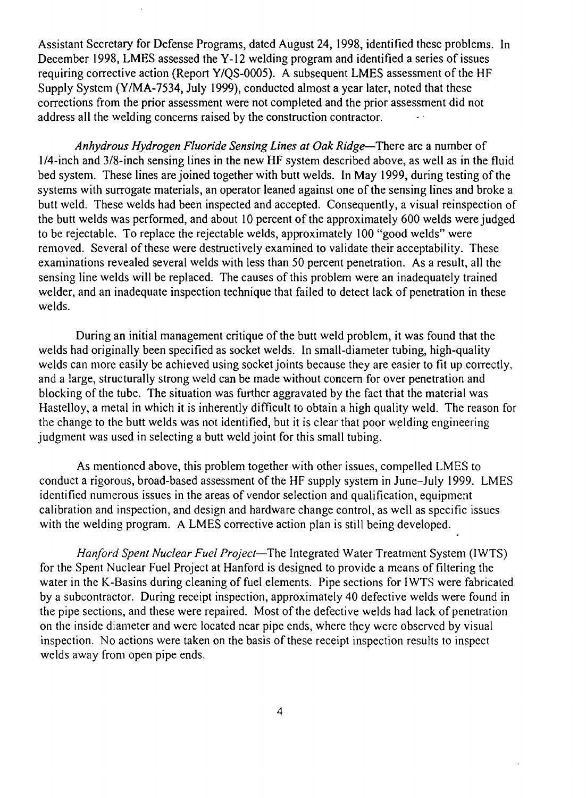Assistant Secretary for Defense Programs, dated August 24, 1998, identified these problems. In December 1998, LMES assessed the Y-12 welding program and identified a series of issues requiring corrective action (Report Y/OS-0005). A subsequent LMES assessment of the HF Supply System (YIMA-7534, July 1999), conducted almost a year later, noted that these corrections from the prior assessment were not completed and the prior assessment did not address all the welding concerns raised by the construction contractor.

*Anhydrous Hydrogen Fluoride Sensing Lines at Oak Ridge-There* are a number of 1/4-inch and 3/8-inch sensing lines in the new HF system described above, as well as in the fluid bed system. These lines are joined together with butt welds. In May 1999, during testing of the systems with surrogate materials, an operator leaned against one of the sensing lines and broke a butt weld. These welds had been inspected and accepted. Consequently, a visual reinspection of the butt welds was performed, and about 10 percent of the approximately 600 welds were judged to be rejectable. To replace the rejectable welds, approximately 100 "good welds" were removed. Several of these were destructively examined to validate their acceptability. These examinations revealed several welds with less than 50 percent penetration. As a result, all the sensing line welds will be replaced. The causes of this problem were an inadequately trained welder, and an inadequate inspection technique that failed to detect lack of penetration in these welds.

During an initial management critique of the butt weld problem, it was found that the welds had originally been specified as socket welds. In small-diameter tubing, high-quality welds can more easily be achieved using socket joints because they are easier to fit up correctly, and a large, structurally strong weld can be made without concern for over penetration and blocking of the tube. The situation was further aggravated by the fact that the material was Hastelloy, a metal in which it is inherently difficult to obtain a high quality weld. The reason for the change to the butt welds was not identified, but it is clear that poor welding engineering judgment was used in selecting a butt weld joint for this small tubing.

As mentioned above, this problem together with other issues, compelled LMES to conduct a rigorous, broad-based assessment of the HF supply system in June-July 1999. LMES identified numerous issues in the areas of vendor selection and qualification, equipment calibration and inspection, and design and hardware change control, as well as specific issues with the welding program. A LMES corrective action plan is still being developed.

*Hanford Spent Nuclear Fuel Project-The* Integrated Water Treatment System (IWTS) for the Spent Nuclear Fuel Project at Hanford is designed to provide a means of filtering the water in the K-Basins during cleaning of fuel elements. Pipe sections for IWTS were fabricated by a subcontractor. During receipt inspection, approximately 40 defective welds were found in the pipe sections, and these were repaired. Most ofthe defective welds had lack of penetration on the inside diameter and were located near pipe ends, where they were observed by visual inspection. No actions were taken on the basis of these receipt inspection results to inspect welds away from open pipe ends.